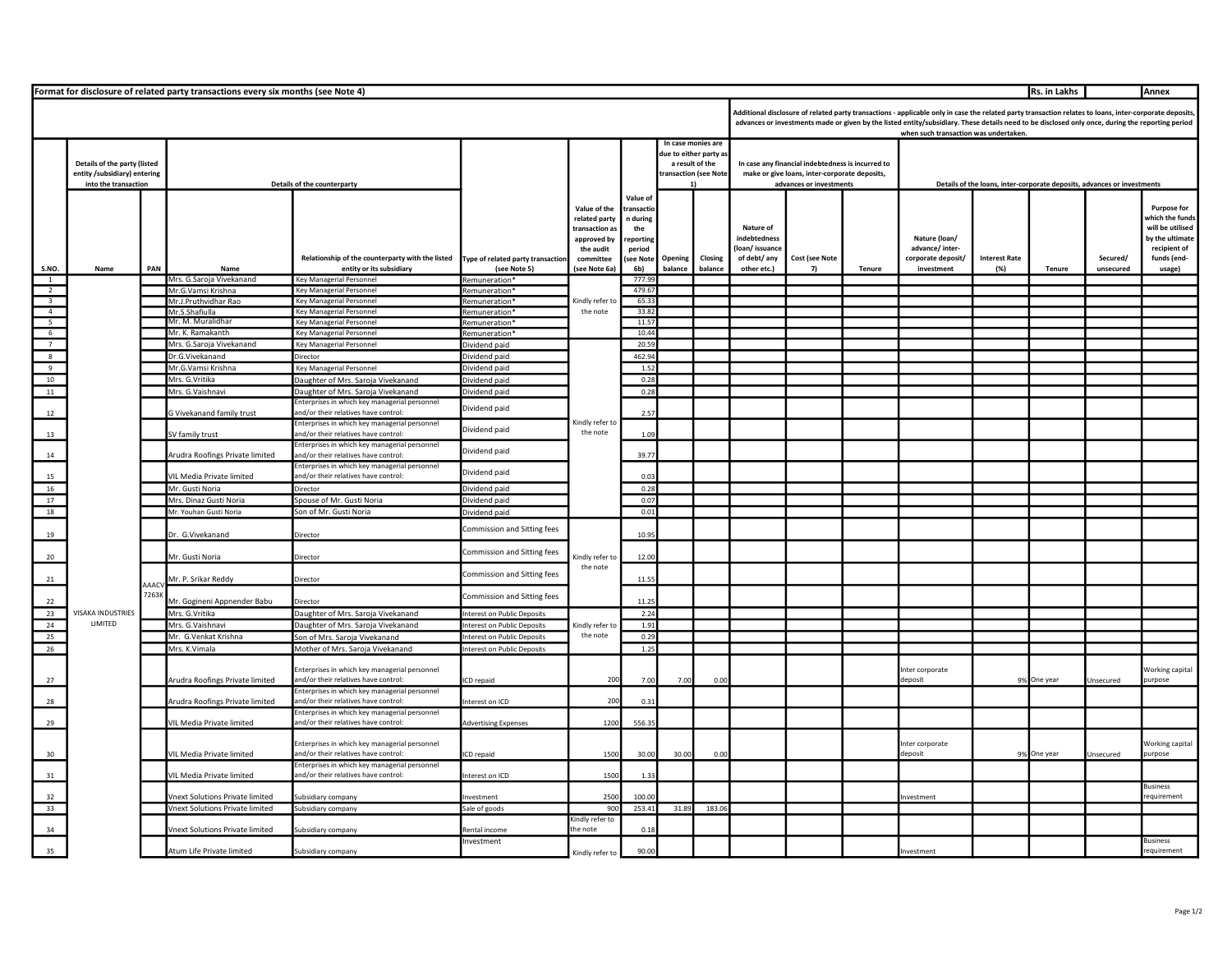|                                            | Rs. in Lakhs<br>Format for disclosure of related party transactions every six months (see Note 4)<br>Annex |      |                                        |                                                                                       |                                                          |                                                                   |                                          |                      |                    |                                                                                                                                                                                                                                                                                                                                                      |                |        |                                                                         |                      |             |                  |                                       |  |  |
|--------------------------------------------|------------------------------------------------------------------------------------------------------------|------|----------------------------------------|---------------------------------------------------------------------------------------|----------------------------------------------------------|-------------------------------------------------------------------|------------------------------------------|----------------------|--------------------|------------------------------------------------------------------------------------------------------------------------------------------------------------------------------------------------------------------------------------------------------------------------------------------------------------------------------------------------------|----------------|--------|-------------------------------------------------------------------------|----------------------|-------------|------------------|---------------------------------------|--|--|
|                                            |                                                                                                            |      |                                        |                                                                                       |                                                          |                                                                   |                                          |                      |                    | Additional disclosure of related party transactions - applicable only in case the related party transaction relates to loans, inter-corporate deposits,<br>advances or investments made or given by the listed entity/subsidiary. These details need to be disclosed only once, during the reporting period<br>when such transaction was undertaken. |                |        |                                                                         |                      |             |                  |                                       |  |  |
|                                            |                                                                                                            |      |                                        |                                                                                       |                                                          |                                                                   |                                          |                      | In case monies are |                                                                                                                                                                                                                                                                                                                                                      |                |        |                                                                         |                      |             |                  |                                       |  |  |
|                                            | Details of the party (listed<br>entity / subsidiary) entering<br>into the transaction                      |      |                                        |                                                                                       |                                                          |                                                                   | due to either party a<br>a result of the |                      |                    |                                                                                                                                                                                                                                                                                                                                                      |                |        |                                                                         |                      |             |                  |                                       |  |  |
|                                            |                                                                                                            |      |                                        |                                                                                       |                                                          |                                                                   |                                          | ransaction (see Note |                    | In case any financial indebtedness is incurred to<br>make or give loans, inter-corporate deposits,<br>advances or investments                                                                                                                                                                                                                        |                |        |                                                                         |                      |             |                  |                                       |  |  |
|                                            |                                                                                                            |      | Details of the counterparty            |                                                                                       |                                                          |                                                                   |                                          |                      |                    |                                                                                                                                                                                                                                                                                                                                                      |                |        | Details of the loans, inter-corporate deposits, advances or investments |                      |             |                  |                                       |  |  |
|                                            |                                                                                                            |      |                                        |                                                                                       |                                                          |                                                                   | Value o                                  |                      |                    |                                                                                                                                                                                                                                                                                                                                                      |                |        |                                                                         |                      |             |                  |                                       |  |  |
|                                            |                                                                                                            |      |                                        |                                                                                       |                                                          | Value of the                                                      | transactio                               |                      |                    |                                                                                                                                                                                                                                                                                                                                                      |                |        |                                                                         |                      |             |                  | <b>Purpose for</b><br>vhich the funds |  |  |
|                                            |                                                                                                            |      |                                        |                                                                                       |                                                          | related party<br>transaction as                                   | n during<br>the                          |                      |                    | Nature of                                                                                                                                                                                                                                                                                                                                            |                |        |                                                                         |                      |             |                  | will be utilised                      |  |  |
|                                            |                                                                                                            |      |                                        |                                                                                       |                                                          | approved by                                                       | reporting                                |                      |                    | <b>ndebtedness</b>                                                                                                                                                                                                                                                                                                                                   |                |        | Nature (loan/                                                           |                      |             |                  | by the ultimate                       |  |  |
|                                            |                                                                                                            |      |                                        | Relationship of the counterparty with the listed                                      | Type of related party transaction                        | the audit<br>committee                                            | period<br>see Note                       | Opening              | Closing            | loan/issuance<br>of debt/ any                                                                                                                                                                                                                                                                                                                        | Cost (see Note |        | advance/ inter-<br>corporate deposit/                                   | <b>Interest Rate</b> |             | Secured/         | recipient of<br>funds (end-           |  |  |
| S.NO.                                      | Name                                                                                                       | PAN  | <b>Nam</b>                             | entity or its subsidiary                                                              | (see Note 5)                                             | (see Note 6a)                                                     | 6b)                                      | balance              | halance            | other etc.)                                                                                                                                                                                                                                                                                                                                          | -7)            | Tenure | investment                                                              | (%)                  | Tenure      | unsecured        | usage)                                |  |  |
| $\overline{1}$                             |                                                                                                            |      | Mrs. G.Saroja Vivekanand               | Key Managerial Personnel                                                              | Remuneration'                                            |                                                                   | 777.9                                    |                      |                    |                                                                                                                                                                                                                                                                                                                                                      |                |        |                                                                         |                      |             |                  |                                       |  |  |
| $\overline{2}$                             |                                                                                                            |      | Mr.G.Vamsi Krishna                     | Key Managerial Personnel                                                              | Remuneration <sup>*</sup>                                | Kindly refer to<br>the note                                       | 479.6                                    |                      |                    |                                                                                                                                                                                                                                                                                                                                                      |                |        |                                                                         |                      |             |                  |                                       |  |  |
| $\overline{\mathbf{3}}$                    |                                                                                                            |      | Mr.J.Pruthvidhar Rao<br>Mr.S.Shafiulla | Key Managerial Personnel<br><b>Key Managerial Personnel</b>                           | Remuneration <sup>*</sup><br>Remuneration                |                                                                   | 65.3<br>33.82                            |                      |                    |                                                                                                                                                                                                                                                                                                                                                      |                |        |                                                                         |                      |             |                  |                                       |  |  |
| $\begin{array}{c} 4 \\ 5 \\ 6 \end{array}$ |                                                                                                            |      | Mr. M. Muralidhai                      | <b>Key Managerial Personnel</b>                                                       | Remuneration*                                            |                                                                   | 11.57                                    |                      |                    |                                                                                                                                                                                                                                                                                                                                                      |                |        |                                                                         |                      |             |                  |                                       |  |  |
|                                            |                                                                                                            |      | Mr. K. Ramakanth                       | Key Managerial Personnel                                                              | Remuneration*                                            |                                                                   | 10.44                                    |                      |                    |                                                                                                                                                                                                                                                                                                                                                      |                |        |                                                                         |                      |             |                  |                                       |  |  |
| 7                                          |                                                                                                            |      | Mrs. G.Saroja Vivekanand               | Key Managerial Personnel                                                              | Dividend paid                                            | Kindly refer to<br>the note                                       | 20.59                                    |                      |                    |                                                                                                                                                                                                                                                                                                                                                      |                |        |                                                                         |                      |             |                  |                                       |  |  |
| 8<br>$\overline{9}$                        |                                                                                                            |      | Dr.G.Vivekanand<br>Mr.G.Vamsi Krishna  | Director                                                                              | Dividend paid                                            |                                                                   |                                          |                      | 462.94<br>1.57     |                                                                                                                                                                                                                                                                                                                                                      |                |        |                                                                         |                      |             |                  |                                       |  |  |
| 10                                         |                                                                                                            |      | Mrs. G.Vritika                         | Key Managerial Personnel<br>Daughter of Mrs. Saroja Vivekanand                        | Dividend paid<br>lividend paid                           |                                                                   |                                          |                      | 0.28               |                                                                                                                                                                                                                                                                                                                                                      |                |        |                                                                         |                      |             |                  |                                       |  |  |
| 11                                         |                                                                                                            |      | Mrs. G.Vaishnavi                       | Daughter of Mrs. Saroja Vivekanand                                                    | Dividend paid                                            |                                                                   |                                          |                      | 0.28               |                                                                                                                                                                                                                                                                                                                                                      |                |        |                                                                         |                      |             |                  |                                       |  |  |
|                                            |                                                                                                            |      |                                        | Enterprises in which key managerial personnel                                         |                                                          |                                                                   |                                          |                      |                    |                                                                                                                                                                                                                                                                                                                                                      |                |        |                                                                         |                      |             |                  |                                       |  |  |
| 12                                         |                                                                                                            |      | G Vivekanand family trust              | and/or their relatives have control:                                                  | Dividend paid                                            |                                                                   | 2.57                                     |                      |                    |                                                                                                                                                                                                                                                                                                                                                      |                |        |                                                                         |                      |             |                  |                                       |  |  |
| 13                                         |                                                                                                            |      | V family trust                         | Interprises in which key managerial personnel<br>and/or their relatives have control: | Dividend paid                                            |                                                                   | 1.09                                     |                      |                    |                                                                                                                                                                                                                                                                                                                                                      |                |        |                                                                         |                      |             |                  |                                       |  |  |
| 14                                         |                                                                                                            |      | Arudra Roofings Private limited        | Interprises in which key managerial personnel<br>and/or their relatives have control: | Dividend paid                                            |                                                                   | 39.77                                    |                      |                    |                                                                                                                                                                                                                                                                                                                                                      |                |        |                                                                         |                      |             |                  |                                       |  |  |
| 15                                         |                                                                                                            |      | VIL Media Private limited              | Enterprises in which key managerial personnel<br>and/or their relatives have control: | Dividend paid                                            |                                                                   | 0.03                                     |                      |                    |                                                                                                                                                                                                                                                                                                                                                      |                |        |                                                                         |                      |             |                  |                                       |  |  |
| 16                                         |                                                                                                            |      | Mr. Gusti Noria                        | Director                                                                              | lividend paid                                            |                                                                   | 0.28                                     |                      |                    |                                                                                                                                                                                                                                                                                                                                                      |                |        |                                                                         |                      |             |                  |                                       |  |  |
| 17                                         |                                                                                                            |      | Mrs. Dinaz Gusti Noria                 | Spouse of Mr. Gusti Noria                                                             | Dividend paid                                            |                                                                   | 0.07                                     |                      |                    |                                                                                                                                                                                                                                                                                                                                                      |                |        |                                                                         |                      |             |                  |                                       |  |  |
| 18                                         |                                                                                                            |      | Mr. Youhan Gusti Noria                 | Son of Mr. Gusti Noria                                                                | Dividend paid                                            |                                                                   | 0.01                                     |                      |                    |                                                                                                                                                                                                                                                                                                                                                      |                |        |                                                                         |                      |             |                  |                                       |  |  |
| 19                                         |                                                                                                            |      | Dr. G.Vivekanand                       | Director                                                                              | Commission and Sitting fees                              | Kindly refer to<br>the note<br>Kindly refer to<br>the note<br>200 | 10.95                                    |                      |                    |                                                                                                                                                                                                                                                                                                                                                      |                |        |                                                                         |                      |             |                  |                                       |  |  |
| 20                                         |                                                                                                            |      | Mr. Gusti Noria                        | Director                                                                              | Commission and Sitting fees                              |                                                                   | 12.00                                    |                      |                    |                                                                                                                                                                                                                                                                                                                                                      |                |        |                                                                         |                      |             |                  |                                       |  |  |
| 21                                         |                                                                                                            | AAAC | Mr. P. Srikar Reddy                    | Director                                                                              | Commission and Sitting fees                              |                                                                   | 11.55                                    |                      |                    |                                                                                                                                                                                                                                                                                                                                                      |                |        |                                                                         |                      |             |                  |                                       |  |  |
| 22                                         |                                                                                                            | 7263 | Mr. Gogineni Appnender Babu            | Director                                                                              | Commission and Sitting fees                              |                                                                   | 11.2                                     |                      |                    |                                                                                                                                                                                                                                                                                                                                                      |                |        |                                                                         |                      |             |                  |                                       |  |  |
| 23                                         | VISAKA INDUSTRIES                                                                                          |      | Mrs. G.Vritika                         | Daughter of Mrs. Saroja Vivekanand                                                    | nterest on Public Deposits                               |                                                                   | 2.24                                     |                      |                    |                                                                                                                                                                                                                                                                                                                                                      |                |        |                                                                         |                      |             |                  |                                       |  |  |
| 24                                         | LIMITED                                                                                                    |      | Mrs. G.Vaishnavi                       | Daughter of Mrs. Saroja Vivekanand                                                    | nterest on Public Deposits                               |                                                                   | 1.91                                     |                      |                    |                                                                                                                                                                                                                                                                                                                                                      |                |        |                                                                         |                      |             |                  |                                       |  |  |
| 25<br>26                                   |                                                                                                            |      | Mr. G.Venkat Krishna<br>Mrs. K.Vimala  | Son of Mrs. Saroja Vivekanand<br>Mother of Mrs. Saroja Vivekanand                     | nterest on Public Deposits<br>nterest on Public Deposits |                                                                   | 0.29<br>1.25                             |                      |                    |                                                                                                                                                                                                                                                                                                                                                      |                |        |                                                                         |                      |             |                  |                                       |  |  |
|                                            |                                                                                                            |      |                                        |                                                                                       |                                                          |                                                                   |                                          |                      |                    |                                                                                                                                                                                                                                                                                                                                                      |                |        |                                                                         |                      |             |                  |                                       |  |  |
|                                            |                                                                                                            |      |                                        | Enterprises in which key managerial personnel                                         |                                                          |                                                                   |                                          |                      |                    |                                                                                                                                                                                                                                                                                                                                                      |                |        | Inter corporate                                                         |                      |             |                  | Working capital                       |  |  |
| 27                                         |                                                                                                            |      | Arudra Roofings Private limited        | and/or their relatives have control:                                                  | <b>ICD</b> repaid                                        |                                                                   | 7.00                                     | 7.00                 | 0.00               |                                                                                                                                                                                                                                                                                                                                                      |                |        | deposit                                                                 |                      | 9% One year | Unsecured        | purpose                               |  |  |
| 28                                         |                                                                                                            |      | Arudra Roofings Private limited        | Enterprises in which key managerial personnel<br>and/or their relatives have control: | nterest on ICD                                           | 200                                                               | 03                                       |                      |                    |                                                                                                                                                                                                                                                                                                                                                      |                |        |                                                                         |                      |             |                  |                                       |  |  |
| 29                                         |                                                                                                            |      | VIL Media Private limited              | Enterprises in which key managerial personnel<br>and/or their relatives have control: | <b>Advertising Expenses</b>                              | 1200                                                              | 556.3                                    |                      |                    |                                                                                                                                                                                                                                                                                                                                                      |                |        |                                                                         |                      |             |                  |                                       |  |  |
|                                            |                                                                                                            |      |                                        | Enterprises in which key managerial personnel                                         |                                                          |                                                                   |                                          |                      |                    |                                                                                                                                                                                                                                                                                                                                                      |                |        | nter corporate                                                          |                      |             |                  | Norking capital                       |  |  |
| 30                                         |                                                                                                            |      | VIL Media Private limited              | and/or their relatives have control:<br>nterprises in which key managerial personnel  | <b>ICD</b> repaid                                        | 1500                                                              | 30.00                                    | 30.0                 | 0.00               |                                                                                                                                                                                                                                                                                                                                                      |                |        | deposit                                                                 |                      | 9% One year | <b>Jnsecured</b> | ourpose                               |  |  |
| 31                                         |                                                                                                            |      | VIL Media Private limited              | and/or their relatives have control:                                                  | nterest on ICD                                           | 1500                                                              | 1.33                                     |                      |                    |                                                                                                                                                                                                                                                                                                                                                      |                |        |                                                                         |                      |             |                  | <b>Susiness</b>                       |  |  |
| 32                                         |                                                                                                            |      | /next Solutions Private limited        | ubsidiary company                                                                     | nvestment                                                | 2500                                                              | 100.00                                   |                      |                    |                                                                                                                                                                                                                                                                                                                                                      |                |        | nvestment                                                               |                      |             |                  | eauirement                            |  |  |
| 33                                         |                                                                                                            |      | Vnext Solutions Private limited        | Subsidiary company                                                                    | ale of goods                                             | 900                                                               | 253.41                                   | 31.89                | 183.06             |                                                                                                                                                                                                                                                                                                                                                      |                |        |                                                                         |                      |             |                  |                                       |  |  |
| 34                                         |                                                                                                            |      | Vnext Solutions Private limited        | ubsidiary company                                                                     | ental income                                             | Gindly refer to<br>the note                                       | 0.18                                     |                      |                    |                                                                                                                                                                                                                                                                                                                                                      |                |        |                                                                         |                      |             |                  |                                       |  |  |
| 35                                         |                                                                                                            |      | Atum Life Private limited              | subsidiary company                                                                    | nvestment                                                | Kindly refer to                                                   | 90.00                                    |                      |                    |                                                                                                                                                                                                                                                                                                                                                      |                |        | <b>nvestment</b>                                                        |                      |             |                  | <b>Business</b><br>requirement        |  |  |
|                                            |                                                                                                            |      |                                        |                                                                                       |                                                          |                                                                   |                                          |                      |                    |                                                                                                                                                                                                                                                                                                                                                      |                |        |                                                                         |                      |             |                  |                                       |  |  |